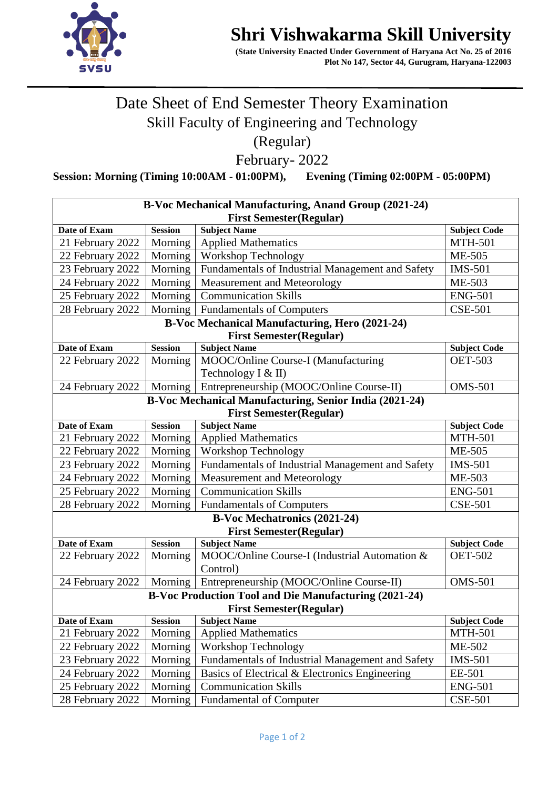

## **Shri Vishwakarma Skill University**

 **(State University Enacted Under Government of Haryana Act No. 25 of 2016 Plot No 147, Sector 44, Gurugram, Haryana-122003** 

## Date Sheet of End Semester Theory Examination Skill Faculty of Engineering and Technology (Regular)

February- 2022

**Session: Morning (Timing 10:00AM - 01:00PM), Evening (Timing 02:00PM - 05:00PM)**

| B-Voc Mechanical Manufacturing, Anand Group (2021-24)        |                |                                                  |                     |  |  |
|--------------------------------------------------------------|----------------|--------------------------------------------------|---------------------|--|--|
| <b>First Semester (Regular)</b>                              |                |                                                  |                     |  |  |
| Date of Exam                                                 | <b>Session</b> | <b>Subject Name</b>                              | <b>Subject Code</b> |  |  |
| 21 February 2022                                             | Morning        | <b>Applied Mathematics</b>                       | <b>MTH-501</b>      |  |  |
| 22 February 2022                                             | Morning        | Workshop Technology                              | ME-505              |  |  |
| 23 February 2022                                             | Morning        | Fundamentals of Industrial Management and Safety | <b>IMS-501</b>      |  |  |
| 24 February 2022                                             | Morning        | Measurement and Meteorology                      | ME-503              |  |  |
| 25 February 2022                                             | Morning        | <b>Communication Skills</b>                      | <b>ENG-501</b>      |  |  |
| 28 February 2022                                             | Morning        | <b>Fundamentals of Computers</b>                 | <b>CSE-501</b>      |  |  |
| <b>B-Voc Mechanical Manufacturing, Hero (2021-24)</b>        |                |                                                  |                     |  |  |
| <b>First Semester (Regular)</b>                              |                |                                                  |                     |  |  |
| Date of Exam                                                 | <b>Session</b> | <b>Subject Name</b>                              | <b>Subject Code</b> |  |  |
| 22 February 2022                                             | Morning        | MOOC/Online Course-I (Manufacturing              | <b>OET-503</b>      |  |  |
|                                                              |                | Technology I & II)                               |                     |  |  |
| 24 February 2022                                             | Morning        | Entrepreneurship (MOOC/Online Course-II)         | <b>OMS-501</b>      |  |  |
| B-Voc Mechanical Manufacturing, Senior India (2021-24)       |                |                                                  |                     |  |  |
| <b>First Semester (Regular)</b>                              |                |                                                  |                     |  |  |
| <b>Date of Exam</b>                                          | <b>Session</b> | <b>Subject Name</b>                              | <b>Subject Code</b> |  |  |
| 21 February 2022                                             | Morning        | <b>Applied Mathematics</b>                       | <b>MTH-501</b>      |  |  |
| 22 February 2022                                             | Morning        | Workshop Technology                              | ME-505              |  |  |
| 23 February 2022                                             | Morning        | Fundamentals of Industrial Management and Safety | <b>IMS-501</b>      |  |  |
| 24 February 2022                                             | Morning        | Measurement and Meteorology                      | ME-503              |  |  |
| 25 February 2022                                             | Morning        | <b>Communication Skills</b>                      | <b>ENG-501</b>      |  |  |
| 28 February 2022                                             | Morning        | <b>Fundamentals of Computers</b>                 | <b>CSE-501</b>      |  |  |
| <b>B-Voc Mechatronics (2021-24)</b>                          |                |                                                  |                     |  |  |
| <b>First Semester (Regular)</b>                              |                |                                                  |                     |  |  |
| Date of Exam                                                 | <b>Session</b> | <b>Subject Name</b>                              | <b>Subject Code</b> |  |  |
| 22 February 2022                                             | Morning        | MOOC/Online Course-I (Industrial Automation &    | <b>OET-502</b>      |  |  |
|                                                              |                | Control)                                         |                     |  |  |
| 24 February 2022                                             | Morning        | Entrepreneurship (MOOC/Online Course-II)         | <b>OMS-501</b>      |  |  |
| <b>B-Voc Production Tool and Die Manufacturing (2021-24)</b> |                |                                                  |                     |  |  |
| <b>First Semester (Regular)</b>                              |                |                                                  |                     |  |  |
| Date of Exam                                                 | <b>Session</b> | <b>Subject Name</b>                              | <b>Subject Code</b> |  |  |
| 21 February 2022                                             | Morning        | <b>Applied Mathematics</b>                       | <b>MTH-501</b>      |  |  |
| 22 February 2022                                             | Morning        | <b>Workshop Technology</b>                       | ME-502              |  |  |
| 23 February 2022                                             | Morning        | Fundamentals of Industrial Management and Safety | <b>IMS-501</b>      |  |  |
| 24 February 2022                                             | Morning        | Basics of Electrical & Electronics Engineering   | EE-501              |  |  |
| 25 February 2022                                             | Morning        | <b>Communication Skills</b>                      | <b>ENG-501</b>      |  |  |
| 28 February 2022                                             | Morning        | <b>Fundamental of Computer</b>                   | <b>CSE-501</b>      |  |  |